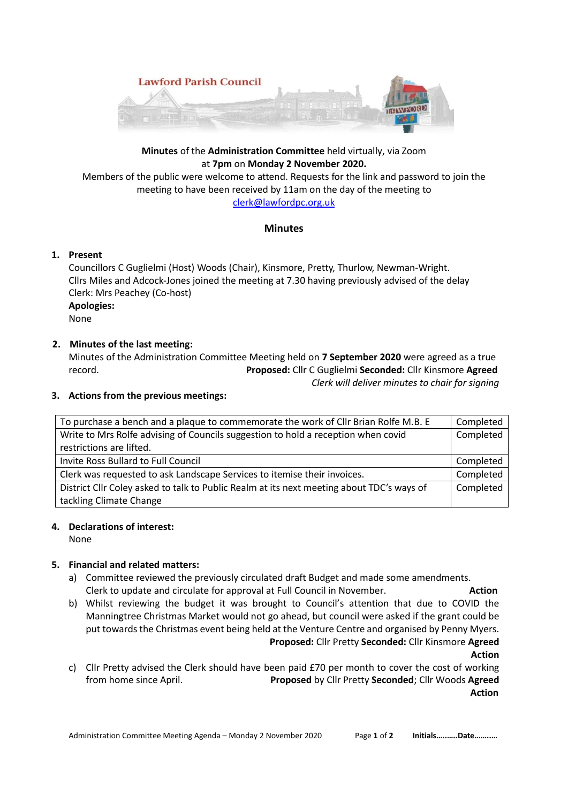

## **Minutes** of the **Administration Committee** held virtually, via Zoom at **7pm** on **Monday 2 November 2020.**

Members of the public were welcome to attend. Requests for the link and password to join the meeting to have been received by 11am on the day of the meeting to [clerk@lawfordpc.org.uk](mailto:clerk@lawfordpc.org.uk)

## **Minutes**

## **1. Present**

Councillors C Guglielmi (Host) Woods (Chair), Kinsmore, Pretty, Thurlow, Newman-Wright. Cllrs Miles and Adcock-Jones joined the meeting at 7.30 having previously advised of the delay Clerk: Mrs Peachey (Co-host) **Apologies:** None

# **2. Minutes of the last meeting:**

Minutes of the Administration Committee Meeting held on **7 September 2020** were agreed as a true record. **Proposed:** Cllr C Guglielmi **Seconded:** Cllr Kinsmore **Agreed**

*Clerk will deliver minutes to chair for signing*

#### **3. Actions from the previous meetings:**

| To purchase a bench and a plaque to commemorate the work of Cllr Brian Rolfe M.B. E       | Completed |
|-------------------------------------------------------------------------------------------|-----------|
| Write to Mrs Rolfe advising of Councils suggestion to hold a reception when covid         | Completed |
| restrictions are lifted.                                                                  |           |
| Invite Ross Bullard to Full Council                                                       | Completed |
| Clerk was requested to ask Landscape Services to itemise their invoices.                  | Completed |
| District ClIr Coley asked to talk to Public Realm at its next meeting about TDC's ways of | Completed |
| tackling Climate Change                                                                   |           |

## **4. Declarations of interest:**

None

## **5. Financial and related matters:**

- a) Committee reviewed the previously circulated draft Budget and made some amendments. Clerk to update and circulate for approval at Full Council in November. **Action**
- b) Whilst reviewing the budget it was brought to Council's attention that due to COVID the Manningtree Christmas Market would not go ahead, but council were asked if the grant could be put towards the Christmas event being held at the Venture Centre and organised by Penny Myers. **Proposed:** Cllr Pretty **Seconded:** Cllr Kinsmore **Agreed**

**Action**

c) Cllr Pretty advised the Clerk should have been paid £70 per month to cover the cost of working from home since April. **Proposed** by Cllr Pretty **Seconded**; Cllr Woods **Agreed Action**